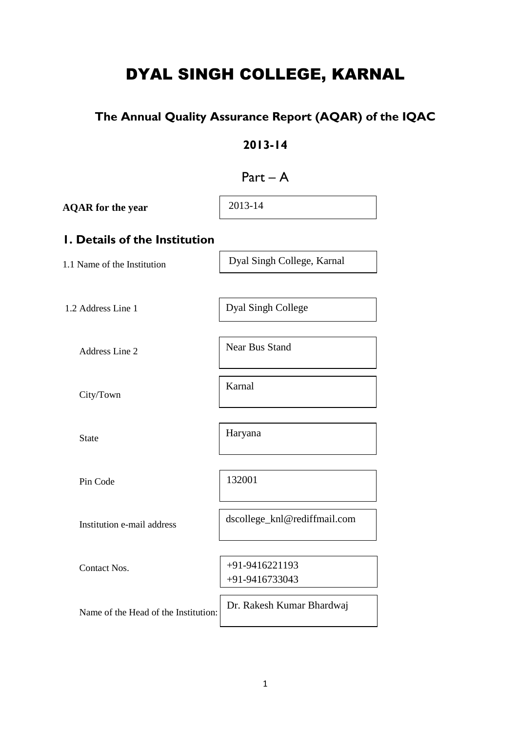# DYAL SINGH COLLEGE, KARNAL

# **The Annual Quality Assurance Report (AQAR) of the IQAC**

# **2013-14**

# $Part - A$

| <b>AQAR</b> for the year             | 2013-14                          |
|--------------------------------------|----------------------------------|
| <b>I. Details of the Institution</b> |                                  |
| 1.1 Name of the Institution          | Dyal Singh College, Karnal       |
|                                      |                                  |
| 1.2 Address Line 1                   | Dyal Singh College               |
| Address Line 2                       | <b>Near Bus Stand</b>            |
| City/Town                            | Karnal                           |
| <b>State</b>                         | Haryana                          |
| Pin Code                             | 132001                           |
| Institution e-mail address           | dscollege_knl@rediffmail.com     |
| <b>Contact Nos.</b>                  | +91-9416221193<br>+91-9416733043 |
| Name of the Head of the Institution: | Dr. Rakesh Kumar Bhardwaj        |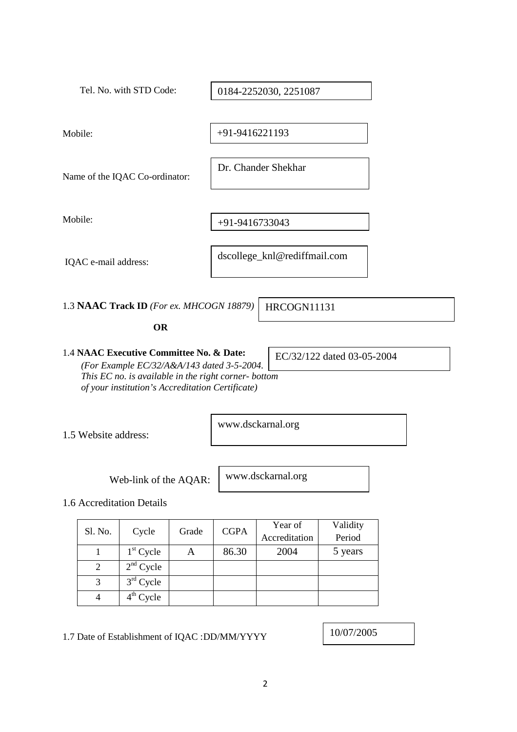| Tel. No. with STD Code:                                                                                  | 0184-2252030, 2251087        |  |  |
|----------------------------------------------------------------------------------------------------------|------------------------------|--|--|
|                                                                                                          |                              |  |  |
| Mobile:                                                                                                  | +91-9416221193               |  |  |
|                                                                                                          |                              |  |  |
| Name of the IQAC Co-ordinator:                                                                           | Dr. Chander Shekhar          |  |  |
|                                                                                                          |                              |  |  |
| Mobile:                                                                                                  | +91-9416733043               |  |  |
|                                                                                                          |                              |  |  |
| IQAC e-mail address:                                                                                     | dscollege_knl@rediffmail.com |  |  |
|                                                                                                          |                              |  |  |
| 1.3 NAAC Track ID (For ex. MHCOGN 18879)                                                                 | HRCOGN11131                  |  |  |
| <b>OR</b>                                                                                                |                              |  |  |
| 1.4 NAAC Executive Committee No. & Date:<br>(For Example EC/32/A&A/143 dated 3-5-2004.                   | EC/32/122 dated 03-05-2004   |  |  |
| This EC no. is available in the right corner- bottom<br>of your institution's Accreditation Certificate) |                              |  |  |
|                                                                                                          | www.dsckarnal.org            |  |  |
| 1.5 Website address:                                                                                     |                              |  |  |

Web-link of the AQAR:

www.dsckarnal.org

1.6 Accreditation Details

| Sl. No. | Cycle       | Grade | <b>CGPA</b> | Year of<br>Accreditation | Validity<br>Period |
|---------|-------------|-------|-------------|--------------------------|--------------------|
|         | $1st$ Cycle | A     | 86.30       | 2004                     | 5 years            |
| 2       | $2nd$ Cycle |       |             |                          |                    |
| 3       | $3rd$ Cycle |       |             |                          |                    |
|         | $4th$ Cycle |       |             |                          |                    |

1.7 Date of Establishment of IQAC : DD/MM/YYYY

10/07/2005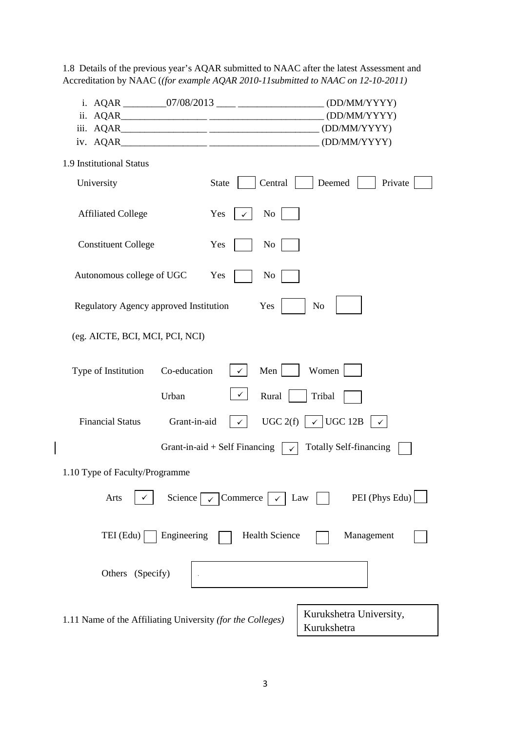1.8 Details of the previous year's AQAR submitted to NAAC after the latest Assessment and Accreditation by NAAC (*(for example AQAR 2010-11submitted to NAAC on 12-10-2011)*

| i. AQAR __________07/08/2013 ____ ____________________(DD/MM/YYYY) |                                 |                                                       |
|--------------------------------------------------------------------|---------------------------------|-------------------------------------------------------|
|                                                                    |                                 |                                                       |
|                                                                    |                                 |                                                       |
|                                                                    |                                 |                                                       |
| 1.9 Institutional Status                                           |                                 |                                                       |
| University                                                         | <b>State</b><br>Central         | Deemed<br>Private                                     |
| <b>Affiliated College</b>                                          | Yes<br>$\overline{N_{O}}$       |                                                       |
| <b>Constituent College</b>                                         | Yes<br>No                       |                                                       |
| Autonomous college of UGC                                          | Yes<br>N <sub>o</sub>           |                                                       |
| Regulatory Agency approved Institution                             | Yes                             | N <sub>o</sub>                                        |
| (eg. AICTE, BCI, MCI, PCI, NCI)                                    |                                 |                                                       |
| Co-education<br>Type of Institution                                | Men<br>$\checkmark$             | Women                                                 |
| Urban                                                              | $\checkmark$<br>Rural           | Tribal                                                |
| <b>Financial Status</b><br>Grant-in-aid                            | $\checkmark$                    | UGC 2(f) $\vert \sqrt{\vert}$ UGC 12B<br>$\checkmark$ |
|                                                                    | Grant-in-aid $+$ Self Financing | <b>Totally Self-financing</b>                         |
| 1.10 Type of Faculty/Programme                                     |                                 |                                                       |
| Science  <br>Arts                                                  | Commerce                        | PEI (Phys Edu)<br>Law                                 |
| TEI (Edu)<br>Engineering                                           | <b>Health Science</b>           | Management                                            |
| Others (Specify)                                                   |                                 |                                                       |
| 1.11 Name of the Affiliating University (for the Colleges)         |                                 | Kurukshetra University,<br>Kurukshetra                |

 $\begin{array}{c} \hline \end{array}$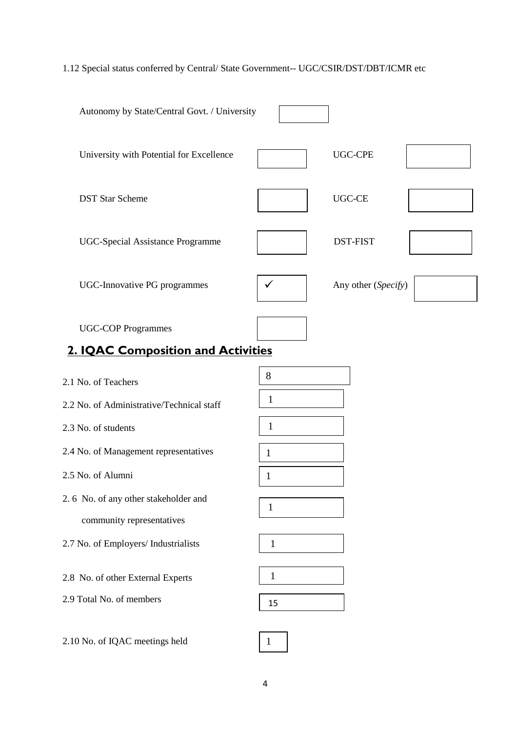## 1.12 Special status conferred by Central/ State Government-- UGC/CSIR/DST/DBT/ICMR etc

| Autonomy by State/Central Govt. / University                    |              |                     |
|-----------------------------------------------------------------|--------------|---------------------|
| University with Potential for Excellence                        |              | <b>UGC-CPE</b>      |
| <b>DST Star Scheme</b>                                          |              | <b>UGC-CE</b>       |
| <b>UGC-Special Assistance Programme</b>                         |              | <b>DST-FIST</b>     |
| <b>UGC-Innovative PG programmes</b>                             | ✓            | Any other (Specify) |
| <b>UGC-COP Programmes</b><br>2. IQAC Composition and Activities |              |                     |
|                                                                 |              |                     |
| 2.1 No. of Teachers                                             | 8            |                     |
| 2.2 No. of Administrative/Technical staff                       | 1            |                     |
| 2.3 No. of students                                             | 1            |                     |
| 2.4 No. of Management representatives                           | 1            |                     |
| 2.5 No. of Alumni                                               | 1            |                     |
| 2.6 No. of any other stakeholder and                            | $\mathbf{1}$ |                     |
| community representatives                                       |              |                     |
| 2.7 No. of Employers/ Industrialists                            | $\mathbf 1$  |                     |
| 2.8 No. of other External Experts                               | 1            |                     |
| 2.9 Total No. of members                                        |              |                     |
|                                                                 | 15           |                     |
| 2.10 No. of IQAC meetings held                                  | $\mathbf{1}$ |                     |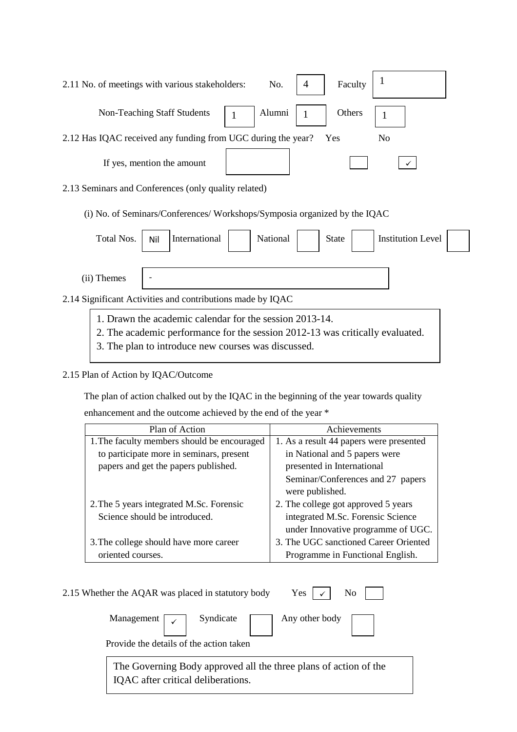| 2.11 No. of meetings with various stakeholders:                                                                         | No. $\vert 4 \vert$ | Faculty |     |                |
|-------------------------------------------------------------------------------------------------------------------------|---------------------|---------|-----|----------------|
| Non-Teaching Staff Students $\begin{vmatrix} 1 \\ 1 \end{vmatrix}$ Alumni $\begin{vmatrix} 1 \\ 1 \end{vmatrix}$ Others |                     |         |     |                |
| 2.12 Has IQAC received any funding from UGC during the year?                                                            |                     |         | Yes | N <sub>0</sub> |
| If yes, mention the amount                                                                                              |                     |         |     |                |

2.13 Seminars and Conferences (only quality related)

(i) No. of Seminars/Conferences/ Workshops/Symposia organized by the IQAC

| Total Nos.                                                 | Nil | International | National | <b>State</b> | <b>Institution Level</b> |  |
|------------------------------------------------------------|-----|---------------|----------|--------------|--------------------------|--|
| (ii) Themes                                                |     |               |          |              |                          |  |
| 2.14 Significant Activities and contributions made by IQAC |     |               |          |              |                          |  |

- 1. Drawn the academic calendar for the session 2013-14.
- 2. The academic performance for the session 2012-13 was critically evaluated.
- 3. The plan to introduce new courses was discussed.

### 2.15 Plan of Action by IQAC/Outcome

The plan of action chalked out by the IQAC in the beginning of the year towards quality

enhancement and the outcome achieved by the end of the year \*

| Plan of Action                              | Achievements                            |
|---------------------------------------------|-----------------------------------------|
| 1. The faculty members should be encouraged | 1. As a result 44 papers were presented |
| to participate more in seminars, present    | in National and 5 papers were           |
| papers and get the papers published.        | presented in International              |
|                                             | Seminar/Conferences and 27 papers       |
|                                             | were published.                         |
| 2. The 5 years integrated M.Sc. Forensic    | 2. The college got approved 5 years     |
| Science should be introduced.               | integrated M.Sc. Forensic Science       |
|                                             | under Innovative programme of UGC.      |
| 3. The college should have more career      | 3. The UGC sanctioned Career Oriented   |
| oriented courses.                           | Programme in Functional English.        |

| Yes $\vert \cdot \vert$ No<br>2.15 Whether the AQAR was placed in statutory body                    |  |  |  |  |
|-----------------------------------------------------------------------------------------------------|--|--|--|--|
| Any other body $\boxed{\phantom{1}}$<br>Management $\sqrt{\phantom{a}}$ Syndicate                   |  |  |  |  |
| Provide the details of the action taken                                                             |  |  |  |  |
|                                                                                                     |  |  |  |  |
| The Governing Body approved all the three plans of action of the IQAC after critical deliberations. |  |  |  |  |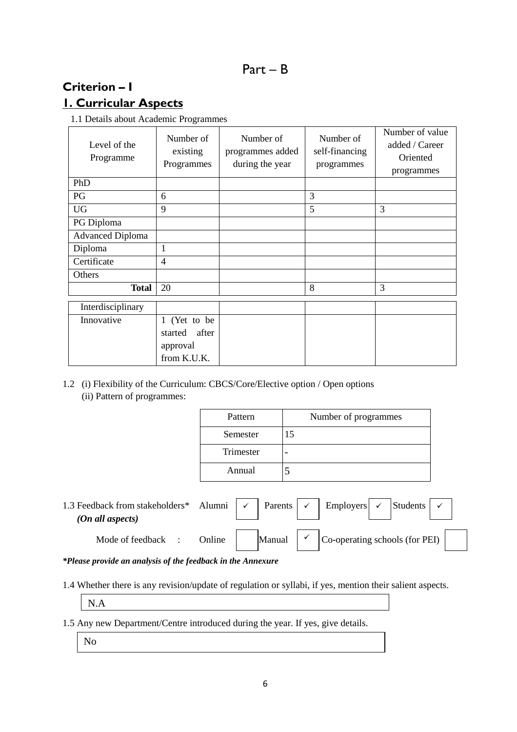# **Criterion – I 1. Curricular Aspects**

1.1 Details about Academic Programmes

| Level of the<br>Programme | Number of<br>existing<br>Programmes | Number of<br>programmes added<br>during the year | Number of<br>self-financing<br>programmes | Number of value<br>added / Career<br>Oriented<br>programmes |
|---------------------------|-------------------------------------|--------------------------------------------------|-------------------------------------------|-------------------------------------------------------------|
| PhD                       |                                     |                                                  |                                           |                                                             |
| PG                        | 6                                   |                                                  | 3                                         |                                                             |
| <b>UG</b>                 | 9                                   |                                                  | 5                                         | 3                                                           |
| PG Diploma                |                                     |                                                  |                                           |                                                             |
| <b>Advanced Diploma</b>   |                                     |                                                  |                                           |                                                             |
| Diploma                   | 1                                   |                                                  |                                           |                                                             |
| Certificate               | 4                                   |                                                  |                                           |                                                             |
| Others                    |                                     |                                                  |                                           |                                                             |
| <b>Total</b>              | 20                                  |                                                  | 8                                         | 3                                                           |
| Interdisciplinary         |                                     |                                                  |                                           |                                                             |
| Innovative                | 1 (Yet to be                        |                                                  |                                           |                                                             |
|                           | after<br>started                    |                                                  |                                           |                                                             |
|                           | approval                            |                                                  |                                           |                                                             |
|                           | from K.U.K.                         |                                                  |                                           |                                                             |

1.2 (i) Flexibility of the Curriculum: CBCS/Core/Elective option / Open options (ii) Pattern of programmes:

| Pattern   | Number of programmes |
|-----------|----------------------|
| Semester  | 15                   |
| Trimester |                      |
| Annual    |                      |

1.3 Feedback from stakeholders\* Alumni  $\vert \cdot \vert$  Parents  $\vert \cdot \vert$  Employers  $\vert \cdot \vert$  Students  *(On all aspects)*  Mode of feedback : Online  $\vert$  Manual  $\vert \cdot \vert$  Co-operating schools (for PEI) Employers  $\sim$  $\checkmark$ 

*\*Please provide an analysis of the feedback in the Annexure* 

- 1.4 Whether there is any revision/update of regulation or syllabi, if yes, mention their salient aspects.
	- N.A

1.5 Any new Department/Centre introduced during the year. If yes, give details.

No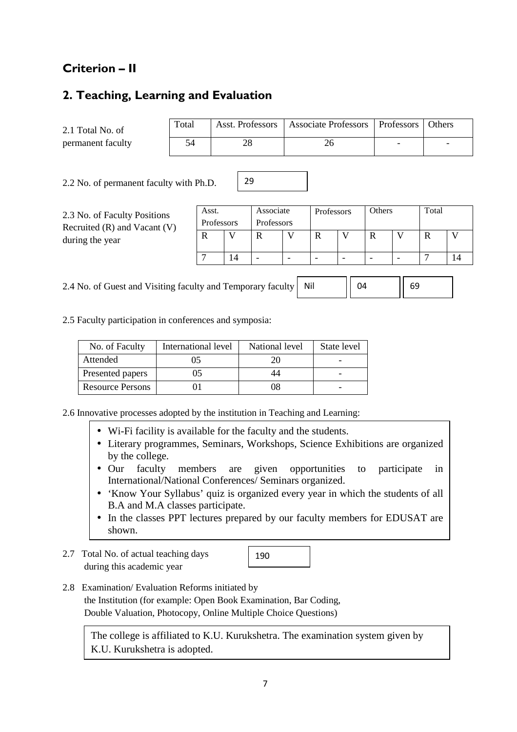# **Criterion – II**

### **2. Teaching, Learning and Evaluation**

2.1 Total No. of permanent faculty

| Total | Asst. Professors   Associate Professors   Professors   Others |  |
|-------|---------------------------------------------------------------|--|
| 54    |                                                               |  |

2.2 No. of permanent faculty with Ph.D.

2.3 No. of Faculty Positions Recruited (R) and Vacant (V) during the year

| Asst.      |  | Associate  | Professors |  | Others |  | Total |  |
|------------|--|------------|------------|--|--------|--|-------|--|
| Professors |  | Professors |            |  |        |  |       |  |
|            |  |            |            |  |        |  |       |  |
|            |  |            |            |  |        |  |       |  |
|            |  |            |            |  |        |  |       |  |

2.4 No. of Guest and Visiting faculty and Temporary faculty Nil  $04$   $||69$ 

29

2.5 Faculty participation in conferences and symposia:

| No. of Faculty          | International level | National level | State level |
|-------------------------|---------------------|----------------|-------------|
| Attended                | )5                  | 20             |             |
| Presented papers        | רו.                 |                |             |
| <b>Resource Persons</b> |                     | 08             |             |

2.6 Innovative processes adopted by the institution in Teaching and Learning:

- Wi-Fi facility is available for the faculty and the students.
- Literary programmes, Seminars, Workshops, Science Exhibitions are organized by the college.
- Our faculty members are given opportunities to participate in International/National Conferences/ Seminars organized.
- 'Know Your Syllabus' quiz is organized every year in which the students of all B.A and M.A classes participate.
- In the classes PPT lectures prepared by our faculty members for EDUSAT are shown.
- 2.7 Total No. of actual teaching days during this academic year

190

2.8 Examination/ Evaluation Reforms initiated by the Institution (for example: Open Book Examination, Bar Coding, Double Valuation, Photocopy, Online Multiple Choice Questions)

The college is affiliated to K.U. Kurukshetra. The examination system given by K.U. Kurukshetra is adopted.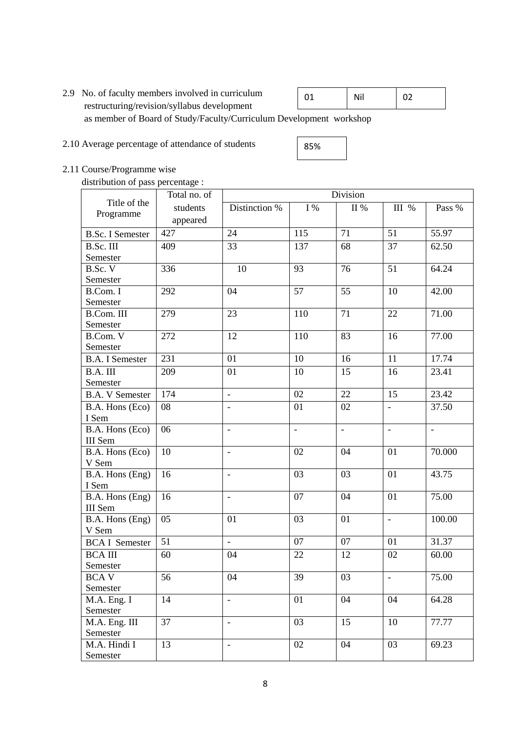- 2.9 No. of faculty members involved in curriculum restructuring/revision/syllabus development as member of Board of Study/Faculty/Curriculum Development workshop 02 01 | Nil
- 2.10 Average percentage of attendance of students

85%

2.11 Course/Programme wise

distribution of pass percentage :

|                          | Total no. of |                          | Division       |                          |                          |                          |  |
|--------------------------|--------------|--------------------------|----------------|--------------------------|--------------------------|--------------------------|--|
| Title of the             | students     | Distinction %            | I%             | $\rm{II}$ %              | III %                    | Pass %                   |  |
| Programme                | appeared     |                          |                |                          |                          |                          |  |
| <b>B.Sc. I Semester</b>  | 427          | 24                       | 115            | 71                       | 51                       | 55.97                    |  |
| B.Sc. III                | 409          | 33                       | 137            | 68                       | 37                       | 62.50                    |  |
| Semester                 |              |                          |                |                          |                          |                          |  |
| B.Sc. V                  | 336          | 10                       | 93             | 76                       | 51                       | 64.24                    |  |
| Semester                 |              |                          |                |                          |                          |                          |  |
| B.Com. I                 | 292          | 04                       | 57             | 55                       | 10                       | 42.00                    |  |
| Semester                 |              |                          |                |                          |                          |                          |  |
| B.Com. III               | 279          | 23                       | 110            | 71                       | 22                       | 71.00                    |  |
| Semester                 |              |                          |                |                          |                          |                          |  |
| B.Com. V                 | 272          | 12                       | 110            | 83                       | 16                       | 77.00                    |  |
| Semester                 |              |                          |                |                          |                          |                          |  |
| <b>B.A. I Semester</b>   | 231          | 01                       | 10             | 16                       | 11                       | 17.74                    |  |
| B.A. III                 | 209          | 01                       | 10             | 15                       | 16                       | 23.41                    |  |
| Semester                 |              |                          |                |                          |                          |                          |  |
| <b>B.A. V Semester</b>   | 174          | ÷,                       | 02             | 22                       | 15                       | 23.42                    |  |
| B.A. Hons (Eco)          | 08           |                          | 01             | 02                       |                          | 37.50                    |  |
| I Sem                    |              |                          |                |                          |                          |                          |  |
| B.A. Hons (Eco)          | 06           | $\overline{\phantom{a}}$ | $\blacksquare$ | $\overline{\phantom{a}}$ | $\overline{\phantom{a}}$ | $\overline{\phantom{a}}$ |  |
| <b>III</b> Sem           |              |                          |                |                          |                          |                          |  |
| B.A. Hons (Eco)          | 10           | $\qquad \qquad -$        | 02             | 04                       | 01                       | 70.000                   |  |
| V Sem                    |              |                          |                |                          |                          |                          |  |
| B.A. Hons (Eng)          | 16           | $\overline{a}$           | 03             | 03                       | 01                       | 43.75                    |  |
| I Sem                    |              |                          |                |                          |                          |                          |  |
| B.A. Hons (Eng)          | 16           | $\overline{a}$           | 07             | 04                       | 01                       | 75.00                    |  |
| III Sem                  | 05           |                          | 03             | 01                       |                          |                          |  |
| B.A. Hons (Eng)<br>V Sem |              | 01                       |                |                          | $\blacksquare$           | 100.00                   |  |
| <b>BCA I Semester</b>    | 51           | $\Box$                   | 07             | 07                       | 01                       | 31.37                    |  |
|                          |              |                          |                |                          |                          |                          |  |
| <b>BCA III</b>           | 60           | 04                       | 22             | 12                       | 02                       | 60.00                    |  |
| Semester                 |              |                          | 39             |                          |                          |                          |  |
| <b>BCAV</b><br>Semester  | 56           | 04                       |                | 03                       |                          | 75.00                    |  |
| M.A. Eng. I              | 14           | $\blacksquare$           | 01             | 04                       | 04                       | 64.28                    |  |
| Semester                 |              |                          |                |                          |                          |                          |  |
| M.A. Eng. III            | 37           | $\blacksquare$           | 03             | 15                       | 10                       | 77.77                    |  |
| Semester                 |              |                          |                |                          |                          |                          |  |
| M.A. Hindi I             | 13           | $\overline{\phantom{a}}$ | 02             | 04                       | 03                       | 69.23                    |  |
| Semester                 |              |                          |                |                          |                          |                          |  |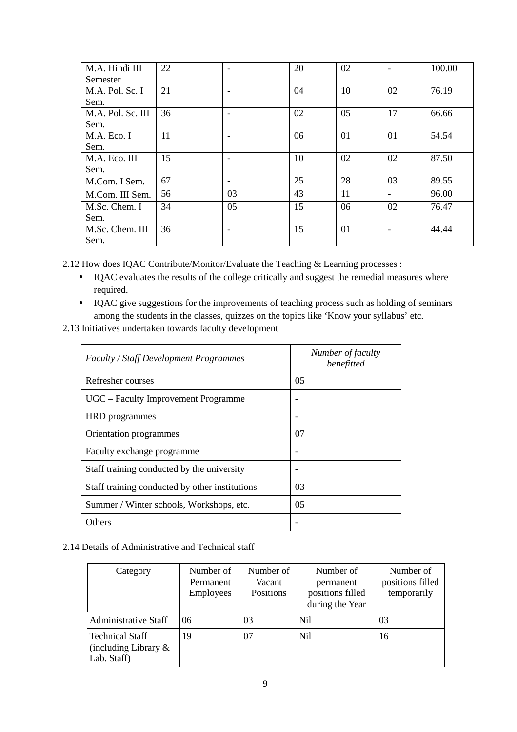| M.A. Hindi III    | 22 |    | 20 | 02 |                   | 100.00 |
|-------------------|----|----|----|----|-------------------|--------|
| Semester          |    |    |    |    |                   |        |
| M.A. Pol. Sc. I   | 21 |    | 04 | 10 | 02                | 76.19  |
| Sem.              |    |    |    |    |                   |        |
| M.A. Pol. Sc. III | 36 |    | 02 | 05 | 17                | 66.66  |
| Sem.              |    |    |    |    |                   |        |
| M.A. Eco. I       | 11 |    | 06 | 01 | 01                | 54.54  |
| Sem.              |    |    |    |    |                   |        |
| M.A. Eco. III     | 15 |    | 10 | 02 | 02                | 87.50  |
| Sem.              |    |    |    |    |                   |        |
| M.Com. I Sem.     | 67 | -  | 25 | 28 | 03                | 89.55  |
| M.Com. III Sem.   | 56 | 03 | 43 | 11 | $\qquad \qquad -$ | 96.00  |
| M.Sc. Chem. I     | 34 | 05 | 15 | 06 | 02                | 76.47  |
| Sem.              |    |    |    |    |                   |        |
| M.Sc. Chem. III   | 36 |    | 15 | 01 |                   | 44.44  |
| Sem.              |    |    |    |    |                   |        |

2.12 How does IQAC Contribute/Monitor/Evaluate the Teaching & Learning processes :

- IQAC evaluates the results of the college critically and suggest the remedial measures where required.
- IQAC give suggestions for the improvements of teaching process such as holding of seminars among the students in the classes, quizzes on the topics like 'Know your syllabus' etc.
- 2.13 Initiatives undertaken towards faculty development

| <b>Faculty / Staff Development Programmes</b>  | Number of faculty<br>benefitted |
|------------------------------------------------|---------------------------------|
| Refresher courses                              | 0 <sub>5</sub>                  |
| UGC – Faculty Improvement Programme            |                                 |
| <b>HRD</b> programmes                          |                                 |
| Orientation programmes                         | 07                              |
| Faculty exchange programme                     |                                 |
| Staff training conducted by the university     |                                 |
| Staff training conducted by other institutions | 03                              |
| Summer / Winter schools, Workshops, etc.       | 05                              |
| <b>Others</b>                                  |                                 |

#### 2.14 Details of Administrative and Technical staff

| Category                                                         | Number of<br>Permanent<br>Employees | Number of<br>Vacant<br>Positions | Number of<br>permanent<br>positions filled<br>during the Year | Number of<br>positions filled<br>temporarily |
|------------------------------------------------------------------|-------------------------------------|----------------------------------|---------------------------------------------------------------|----------------------------------------------|
| Administrative Staff                                             | 06                                  | 03                               | Nil                                                           | 03                                           |
| <b>Technical Staff</b><br>(including Library $\&$<br>Lab. Staff) | 19                                  | 07                               | Nil                                                           | 16                                           |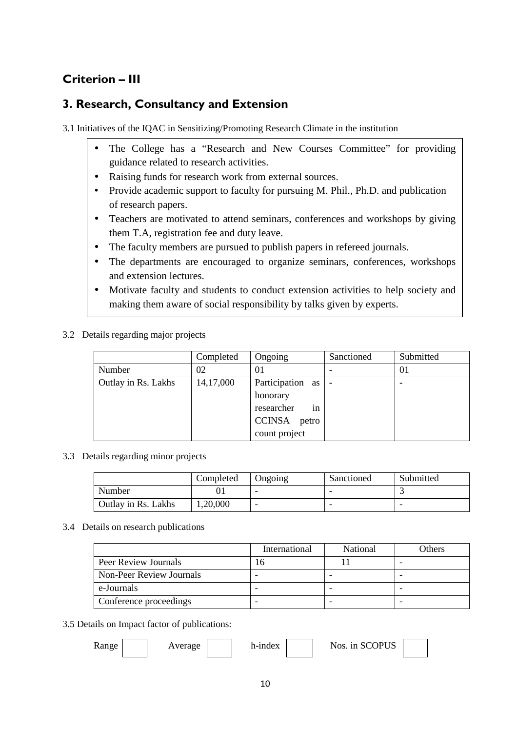# **Criterion – III**

### **3. Research, Consultancy and Extension**

3.1 Initiatives of the IQAC in Sensitizing/Promoting Research Climate in the institution

- The College has a "Research and New Courses Committee" for providing guidance related to research activities.
- Raising funds for research work from external sources.
- Provide academic support to faculty for pursuing M. Phil., Ph.D. and publication of research papers.
- Teachers are motivated to attend seminars, conferences and workshops by giving them T.A, registration fee and duty leave.
- The faculty members are pursued to publish papers in refereed journals.
- The departments are encouraged to organize seminars, conferences, workshops and extension lectures.
- Motivate faculty and students to conduct extension activities to help society and making them aware of social responsibility by talks given by experts.
- 3.2 Details regarding major projects

|                     | Completed | Ongoing          | Sanctioned | Submitted |
|---------------------|-----------|------------------|------------|-----------|
| Number              | 02        | $\Omega$         |            | 01        |
| Outlay in Rs. Lakhs | 14,17,000 | Participation as |            |           |
|                     |           | honorary         |            |           |
|                     |           | researcher<br>in |            |           |
|                     |           | CCINSA<br>petro  |            |           |
|                     |           | count project    |            |           |

3.3 Details regarding minor projects

|                     | Completed | Ongoing | Sanctioned | Submitted |
|---------------------|-----------|---------|------------|-----------|
| Number              |           | -       | -          |           |
| Outlay in Rs. Lakhs | 1,20,000  | -       | -          | -         |

### 3.4 Details on research publications

|                          | International | National | Others |
|--------------------------|---------------|----------|--------|
| Peer Review Journals     | ١h            |          |        |
| Non-Peer Review Journals |               |          |        |
| e-Journals               |               |          |        |
| Conference proceedings   |               |          |        |

### 3.5 Details on Impact factor of publications:

10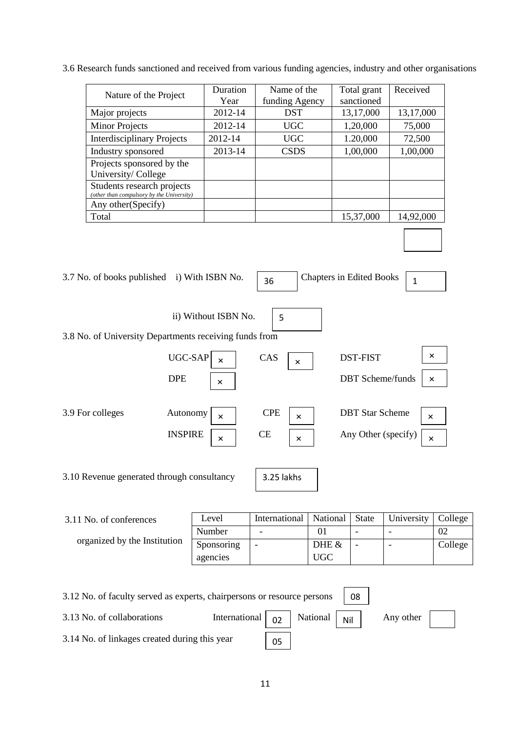3.6 Research funds sanctioned and received from various funding agencies, industry and other organisations

| Nature of the Project                                                   | Duration<br>Year | Name of the<br>funding Agency | Total grant<br>sanctioned | Received  |
|-------------------------------------------------------------------------|------------------|-------------------------------|---------------------------|-----------|
| Major projects                                                          | 2012-14          | <b>DST</b>                    | 13,17,000                 | 13,17,000 |
| <b>Minor Projects</b>                                                   | 2012-14          | <b>UGC</b>                    | 1,20,000                  | 75,000    |
| <b>Interdisciplinary Projects</b>                                       | 2012-14          | <b>UGC</b>                    | 1.20,000                  | 72,500    |
| Industry sponsored                                                      | 2013-14          | <b>CSDS</b>                   | 1,00,000                  | 1,00,000  |
| Projects sponsored by the<br>University/College                         |                  |                               |                           |           |
| Students research projects<br>(other than compulsory by the University) |                  |                               |                           |           |
| Any other (Specify)                                                     |                  |                               |                           |           |
| Total                                                                   |                  |                               | 15,37,000                 | 14,92,000 |

| 3.7 No. of books published i) With ISBN No.            |                                                    | 36                      |                      | <b>Chapters in Edited Books</b>               | 1                    |
|--------------------------------------------------------|----------------------------------------------------|-------------------------|----------------------|-----------------------------------------------|----------------------|
| 3.8 No. of University Departments receiving funds from | ii) Without ISBN No.                               | 5                       |                      |                                               |                      |
|                                                        | UGC-SAP<br>$\times$<br><b>DPE</b><br>×             | CAS                     | ×                    | <b>DST-FIST</b><br><b>DBT</b> Scheme/funds    | $\times$<br>$\times$ |
| 3.9 For colleges                                       | Autonomy<br>$\times$<br><b>INSPIRE</b><br>$\times$ | <b>CPE</b><br><b>CE</b> | $\times$<br>$\times$ | <b>DBT</b> Star Scheme<br>Any Other (specify) | $\times$<br>×        |
| 3.10 Revenue generated through consultancy             |                                                    | 3.25 lakhs              |                      |                                               |                      |
| 3.11 No. of conferences                                | Level                                              | International           | National             | <b>State</b>                                  | University           |

**×**

**×**

| 3.11 No. of conferences      | Level      | International   National |          | State | University   College |         |
|------------------------------|------------|--------------------------|----------|-------|----------------------|---------|
|                              | Number     | $\overline{\phantom{0}}$ | $\Omega$ |       |                      | 02      |
| organized by the Institution | Sponsoring | ۰                        | DHE &    |       |                      | College |
|                              | agencies   |                          | UGC      |       |                      |         |
|                              |            |                          |          |       |                      |         |

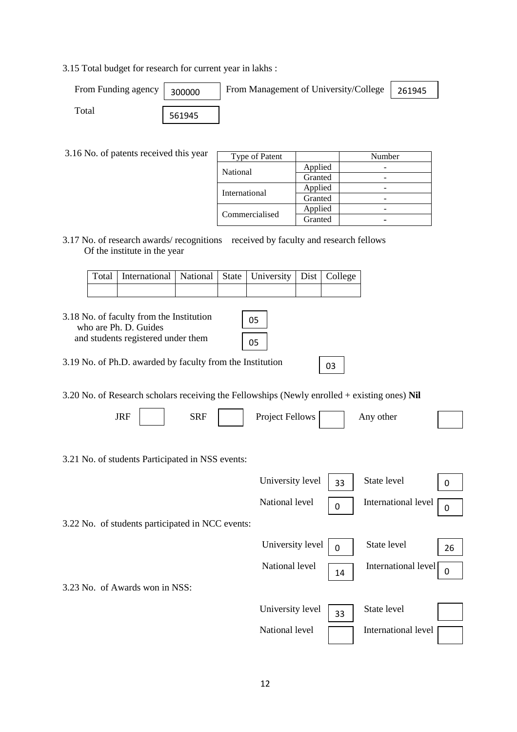3.15 Total budget for research for current year in lakhs :

| From Funding agency | 300000 | From Management of University/College | 261945 |
|---------------------|--------|---------------------------------------|--------|
| Total               | 561945 |                                       |        |

3.16 No. of patents received this year

| Type of Patent |         | Number |
|----------------|---------|--------|
| National       | Applied |        |
|                | Granted |        |
| International  | Applied |        |
|                | Granted |        |
|                | Applied |        |
| Commercialised | Granted |        |

3.17 No. of research awards/ recognitions received by faculty and research fellows Of the institute in the year

|  | Total   International   National   State   University   Dist   College |  |  |  |
|--|------------------------------------------------------------------------|--|--|--|
|  |                                                                        |  |  |  |

| 3.18 No. of faculty from the Institution<br>who are Ph. D. Guides<br>and students registered under them | 05<br>05 |
|---------------------------------------------------------------------------------------------------------|----------|
| 3.19 No. of Ph.D. awarded by faculty from the Institution                                               | O٩       |

3.20 No. of Research scholars receiving the Fellowships (Newly enrolled + existing ones) **Nil**

| <b>JRF</b>                                       | <b>SRF</b> | Project Fellows     | Any other                 |    |
|--------------------------------------------------|------------|---------------------|---------------------------|----|
|                                                  |            |                     |                           |    |
| 3.21 No. of students Participated in NSS events: |            |                     |                           |    |
|                                                  |            | University level    | State level<br>33         | 0  |
|                                                  |            | National level<br>0 | International level       | 0  |
| 3.22 No. of students participated in NCC events: |            |                     |                           |    |
|                                                  |            | University level    | State level               | 26 |
|                                                  |            | National level      | International level<br>14 | 0  |
| 3.23 No. of Awards won in NSS:                   |            |                     |                           |    |
|                                                  |            | University level    | State level<br>33         |    |
|                                                  |            | National level      | International level       |    |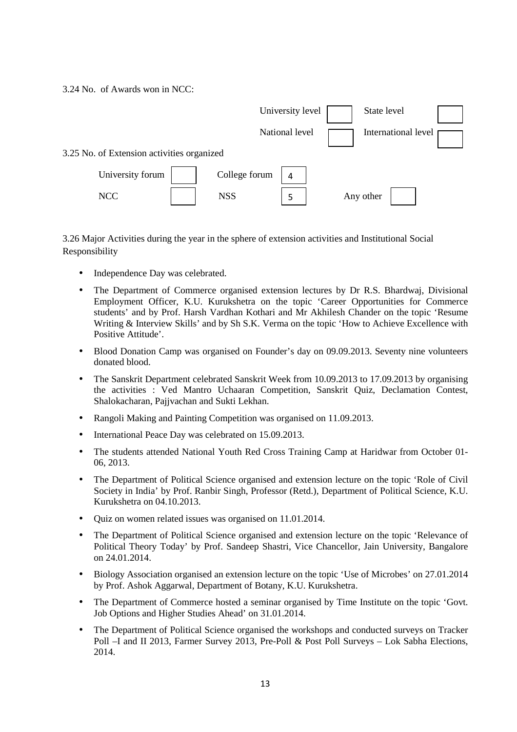3.24 No. of Awards won in NCC:



3.26 Major Activities during the year in the sphere of extension activities and Institutional Social Responsibility

- Independence Day was celebrated.
- The Department of Commerce organised extension lectures by Dr R.S. Bhardwaj, Divisional Employment Officer, K.U. Kurukshetra on the topic 'Career Opportunities for Commerce students' and by Prof. Harsh Vardhan Kothari and Mr Akhilesh Chander on the topic 'Resume Writing & Interview Skills' and by Sh S.K. Verma on the topic 'How to Achieve Excellence with Positive Attitude'.
- Blood Donation Camp was organised on Founder's day on 09.09.2013. Seventy nine volunteers donated blood.
- The Sanskrit Department celebrated Sanskrit Week from 10.09.2013 to 17.09.2013 by organising the activities : Ved Mantro Uchaaran Competition, Sanskrit Quiz, Declamation Contest, Shalokacharan, Pajjvachan and Sukti Lekhan.
- Rangoli Making and Painting Competition was organised on 11.09.2013.
- International Peace Day was celebrated on 15.09.2013.
- The students attended National Youth Red Cross Training Camp at Haridwar from October 01- 06, 2013.
- The Department of Political Science organised and extension lecture on the topic 'Role of Civil Society in India' by Prof. Ranbir Singh, Professor (Retd.), Department of Political Science, K.U. Kurukshetra on 04.10.2013.
- Quiz on women related issues was organised on 11.01.2014.
- The Department of Political Science organised and extension lecture on the topic 'Relevance of Political Theory Today' by Prof. Sandeep Shastri, Vice Chancellor, Jain University, Bangalore on 24.01.2014.
- Biology Association organised an extension lecture on the topic 'Use of Microbes' on 27.01.2014 by Prof. Ashok Aggarwal, Department of Botany, K.U. Kurukshetra.
- The Department of Commerce hosted a seminar organised by Time Institute on the topic 'Govt. Job Options and Higher Studies Ahead' on 31.01.2014.
- The Department of Political Science organised the workshops and conducted surveys on Tracker Poll –I and II 2013, Farmer Survey 2013, Pre-Poll & Post Poll Surveys – Lok Sabha Elections, 2014.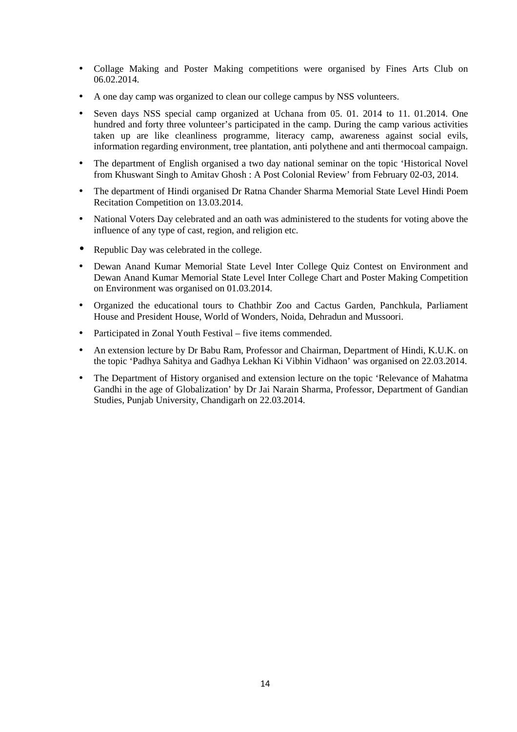- Collage Making and Poster Making competitions were organised by Fines Arts Club on 06.02.2014.
- A one day camp was organized to clean our college campus by NSS volunteers.
- Seven days NSS special camp organized at Uchana from 05. 01. 2014 to 11. 01.2014. One hundred and forty three volunteer's participated in the camp. During the camp various activities taken up are like cleanliness programme, literacy camp, awareness against social evils, information regarding environment, tree plantation, anti polythene and anti thermocoal campaign.
- The department of English organised a two day national seminar on the topic 'Historical Novel from Khuswant Singh to Amitav Ghosh : A Post Colonial Review' from February 02-03, 2014.
- The department of Hindi organised Dr Ratna Chander Sharma Memorial State Level Hindi Poem Recitation Competition on 13.03.2014.
- National Voters Day celebrated and an oath was administered to the students for voting above the influence of any type of cast, region, and religion etc.
- Republic Day was celebrated in the college.
- Dewan Anand Kumar Memorial State Level Inter College Quiz Contest on Environment and Dewan Anand Kumar Memorial State Level Inter College Chart and Poster Making Competition on Environment was organised on 01.03.2014.
- Organized the educational tours to Chathbir Zoo and Cactus Garden, Panchkula, Parliament House and President House, World of Wonders, Noida, Dehradun and Mussoori.
- Participated in Zonal Youth Festival five items commended.
- An extension lecture by Dr Babu Ram, Professor and Chairman, Department of Hindi, K.U.K. on the topic 'Padhya Sahitya and Gadhya Lekhan Ki Vibhin Vidhaon' was organised on 22.03.2014.
- The Department of History organised and extension lecture on the topic 'Relevance of Mahatma Gandhi in the age of Globalization' by Dr Jai Narain Sharma, Professor, Department of Gandian Studies, Punjab University, Chandigarh on 22.03.2014.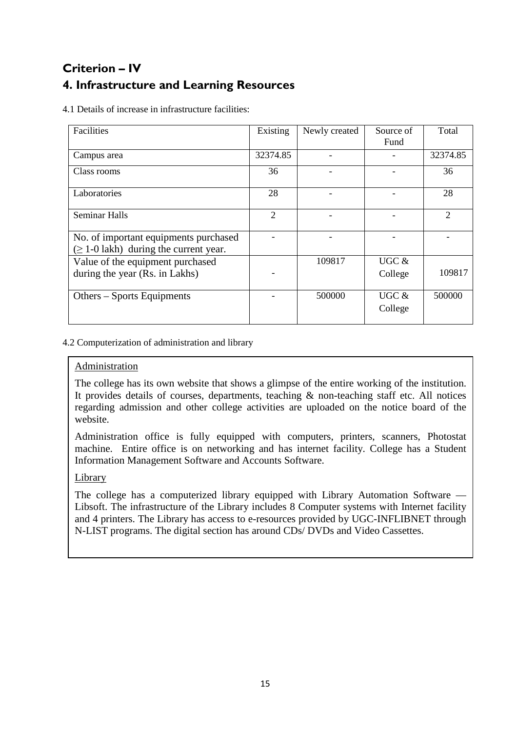# **Criterion – IV 4. Infrastructure and Learning Resources**

4.1 Details of increase in infrastructure facilities:

| Facilities                                                                           | Existing | Newly created | Source of        | Total                       |
|--------------------------------------------------------------------------------------|----------|---------------|------------------|-----------------------------|
|                                                                                      |          |               | Fund             |                             |
| Campus area                                                                          | 32374.85 |               |                  | 32374.85                    |
| Class rooms                                                                          | 36       |               |                  | 36                          |
| Laboratories                                                                         | 28       |               |                  | 28                          |
| <b>Seminar Halls</b>                                                                 | 2        |               |                  | $\mathcal{D}_{\mathcal{L}}$ |
| No. of important equipments purchased<br>$(\geq 1$ -0 lakh) during the current year. |          |               |                  |                             |
| Value of the equipment purchased                                                     |          | 109817        | UGC $&$          |                             |
| during the year (Rs. in Lakhs)                                                       |          |               | College          | 109817                      |
| Others – Sports Equipments                                                           |          | 500000        | UGC &<br>College | 500000                      |

4.2 Computerization of administration and library

### Administration

The college has its own website that shows a glimpse of the entire working of the institution. It provides details of courses, departments, teaching & non-teaching staff etc. All notices regarding admission and other college activities are uploaded on the notice board of the website.

Administration office is fully equipped with computers, printers, scanners, Photostat machine. Entire office is on networking and has internet facility. College has a Student Information Management Software and Accounts Software.

### Library

The college has a computerized library equipped with Library Automation Software — Libsoft. The infrastructure of the Library includes 8 Computer systems with Internet facility and 4 printers. The Library has access to e-resources provided by UGC-INFLIBNET through N-LIST programs. The digital section has around CDs/ DVDs and Video Cassettes.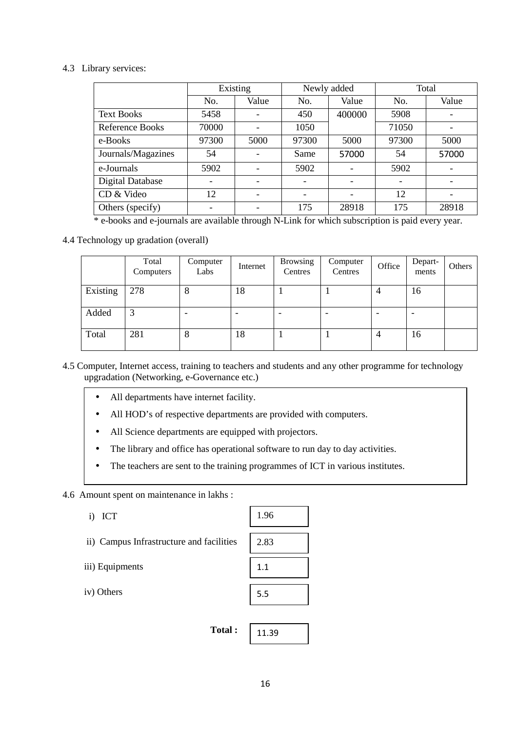#### 4.3 Library services:

|                         | Existing |       |       | Newly added | Total |       |
|-------------------------|----------|-------|-------|-------------|-------|-------|
|                         | No.      | Value | No.   | Value       | No.   | Value |
| <b>Text Books</b>       | 5458     |       | 450   | 400000      | 5908  |       |
| <b>Reference Books</b>  | 70000    |       | 1050  |             | 71050 |       |
| e-Books                 | 97300    | 5000  | 97300 | 5000        | 97300 | 5000  |
| Journals/Magazines      | 54       |       | Same  | 57000       | 54    | 57000 |
| e-Journals              | 5902     |       | 5902  |             | 5902  |       |
| <b>Digital Database</b> |          |       |       |             |       |       |
| CD & Video              | 12       |       |       |             | 12    |       |
| Others (specify)        |          |       | 175   | 28918       | 175   | 28918 |

\* e-books and e-journals are available through N-Link for which subscription is paid every year.

### 4.4 Technology up gradation (overall)

|          | Total<br>Computers | Computer<br>Labs | Internet | <b>Browsing</b><br>Centres | Computer<br>Centres      | Office | Depart-<br>ments         | Others |
|----------|--------------------|------------------|----------|----------------------------|--------------------------|--------|--------------------------|--------|
| Existing | 278                | 8                | 18       |                            |                          |        | 16                       |        |
| Added    | 3                  |                  |          |                            | $\overline{\phantom{0}}$ |        | $\overline{\phantom{0}}$ |        |
| Total    | 281                | 8                | 18       |                            |                          | 4      | 16                       |        |

4.5 Computer, Internet access, training to teachers and students and any other programme for technology upgradation (Networking, e-Governance etc.)

- All departments have internet facility.
- All HOD's of respective departments are provided with computers.
- All Science departments are equipped with projectors.
- The library and office has operational software to run day to day activities.
- The teachers are sent to the training programmes of ICT in various institutes.

#### 4.6 Amount spent on maintenance in lakhs :

- i) ICT
- ii) Campus Infrastructure and facilities
- iii) Equipments

iv) Others



 **Total :**  11.39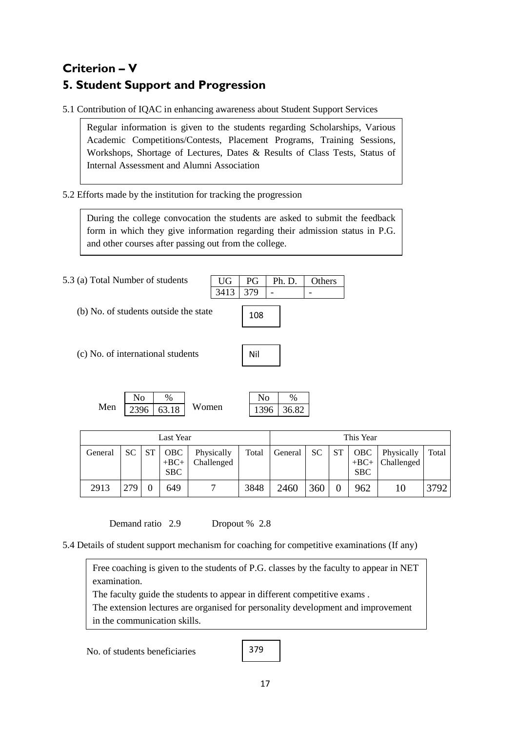# **Criterion – V 5. Student Support and Progression**

5.1 Contribution of IQAC in enhancing awareness about Student Support Services

Regular information is given to the students regarding Scholarships, Various Academic Competitions/Contests, Placement Programs, Training Sessions, Workshops, Shortage of Lectures, Dates & Results of Class Tests, Status of Internal Assessment and Alumni Association

5.2 Efforts made by the institution for tracking the progression

During the college convocation the students are asked to submit the feedback form in which they give information regarding their admission status in P.G. and other courses after passing out from the college.

 $3413 \mid 379$ 

108

Nil

5.3 (a) Total Number of students

- (b) No. of students outside the state
- (c) No. of international students

| Men | $2396 \mid 63.18$ | Women. |
|-----|-------------------|--------|

| lΩ      |            |
|---------|------------|
| 6<br>ïЧ | 6.82<br>14 |

UG PG Ph. D. Others

| Last Year |     |    | This Year                   |                          |       |         |     |           |                             |                          |       |
|-----------|-----|----|-----------------------------|--------------------------|-------|---------|-----|-----------|-----------------------------|--------------------------|-------|
| General   | SC. | ST | OBC<br>$+BC+$<br><b>SBC</b> | Physically<br>Challenged | Total | General | SC. | <b>ST</b> | OBC<br>$+BC+$<br><b>SBC</b> | Physically<br>Challenged | Total |
| 2913      | 279 |    | 649                         |                          | 3848  | 2460    | 360 |           | 962                         | 10                       | 3792  |

Demand ratio 2.9 Dropout % 2.8

5.4 Details of student support mechanism for coaching for competitive examinations (If any)

Free coaching is given to the students of P.G. classes by the faculty to appear in NET examination.

The faculty guide the students to appear in different competitive exams .

The extension lectures are organised for personality development and improvement in the communication skills.

No. of students beneficiaries

379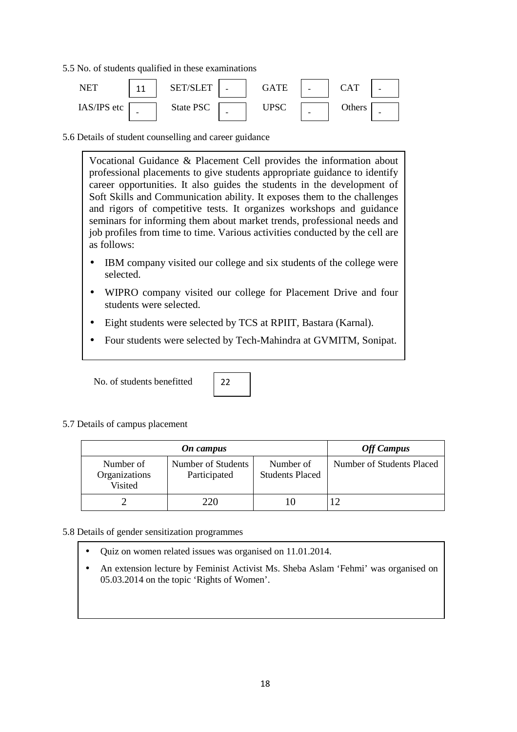5.5 No. of students qualified in these examinations



5.6 Details of student counselling and career guidance

Vocational Guidance & Placement Cell provides the information about professional placements to give students appropriate guidance to identify career opportunities. It also guides the students in the development of Soft Skills and Communication ability. It exposes them to the challenges and rigors of competitive tests. It organizes workshops and guidance seminars for informing them about market trends, professional needs and job profiles from time to time. Various activities conducted by the cell are as follows:

- IBM company visited our college and six students of the college were selected.
- WIPRO company visited our college for Placement Drive and four students were selected.
- Eight students were selected by TCS at RPIIT, Bastara (Karnal).
- Four students were selected by Tech-Mahindra at GVMITM, Sonipat.

No. of students benefitted



5.7 Details of campus placement

|                                       | <b>Off Campus</b>                  |                                     |                           |
|---------------------------------------|------------------------------------|-------------------------------------|---------------------------|
| Number of<br>Organizations<br>Visited | Number of Students<br>Participated | Number of<br><b>Students Placed</b> | Number of Students Placed |
|                                       | 220                                |                                     |                           |

- 5.8 Details of gender sensitization programmes
	- Quiz on women related issues was organised on 11.01.2014.
	- An extension lecture by Feminist Activist Ms. Sheba Aslam 'Fehmi' was organised on 05.03.2014 on the topic 'Rights of Women'.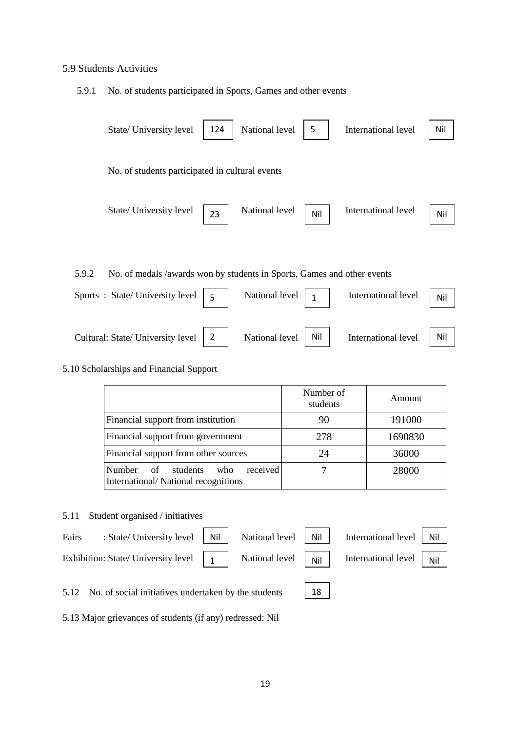### 5.9 Students Activities

5.9.1 No. of students participated in Sports, Games and other events

|       | State/ University level                                                 | 124            | National level | 5            | International level | Nil |
|-------|-------------------------------------------------------------------------|----------------|----------------|--------------|---------------------|-----|
|       | No. of students participated in cultural events                         |                |                |              |                     |     |
|       | State/ University level                                                 | 23             | National level | Nil          | International level | Nil |
|       |                                                                         |                |                |              |                     |     |
| 5.9.2 | No. of medals /awards won by students in Sports, Games and other events |                |                |              |                     |     |
|       | Sports: State/University level                                          | 5              | National level | $\mathbf{1}$ | International level | Nil |
|       | Cultural: State/ University level                                       | $\overline{2}$ | National level | Nil          | International level | Nil |

#### 5.10 Scholarships and Financial Support

|                                                                                           | Number of<br>students | Amount  |
|-------------------------------------------------------------------------------------------|-----------------------|---------|
| Financial support from institution                                                        | 90                    | 191000  |
| Financial support from government                                                         | 278                   | 1690830 |
| Financial support from other sources                                                      | 24                    | 36000   |
| received<br><b>Number</b><br>of<br>students<br>who<br>International/National recognitions |                       | 28000   |

### 5.11 Student organised / initiatives

| Fairs | : State/ University level   Nil   National level   Nil   International level   Nil                                                                                                          |  |  |  |
|-------|---------------------------------------------------------------------------------------------------------------------------------------------------------------------------------------------|--|--|--|
|       | Exhibition: State/ University level $\begin{vmatrix} 1 \\ 1 \end{vmatrix}$ National level $\begin{vmatrix} 1 \\ 1 \end{vmatrix}$ International level $\begin{vmatrix} 1 \\ 1 \end{vmatrix}$ |  |  |  |
|       |                                                                                                                                                                                             |  |  |  |

5.12 No. of social initiatives undertaken by the students

 $18$ 

5.13 Major grievances of students (if any) redressed: Nil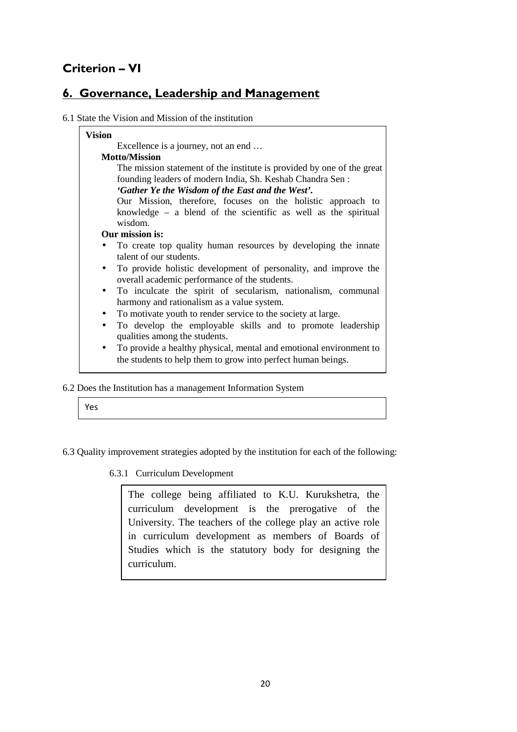# **Criterion – VI**

## **6. Governance, Leadership and Management**

6.1 State the Vision and Mission of the institution

| Excellence is a journey, not an end                                             |  |  |  |  |  |  |
|---------------------------------------------------------------------------------|--|--|--|--|--|--|
| <b>Motto/Mission</b>                                                            |  |  |  |  |  |  |
| The mission statement of the institute is provided by one of the great          |  |  |  |  |  |  |
| founding leaders of modern India, Sh. Keshab Chandra Sen:                       |  |  |  |  |  |  |
| 'Gather Ye the Wisdom of the East and the West'.                                |  |  |  |  |  |  |
| Our Mission, therefore, focuses on the holistic approach to                     |  |  |  |  |  |  |
| knowledge $-$ a blend of the scientific as well as the spiritual                |  |  |  |  |  |  |
| wisdom.                                                                         |  |  |  |  |  |  |
| Our mission is:                                                                 |  |  |  |  |  |  |
| To create top quality human resources by developing the innate                  |  |  |  |  |  |  |
| talent of our students.                                                         |  |  |  |  |  |  |
| To provide holistic development of personality, and improve the                 |  |  |  |  |  |  |
| overall academic performance of the students.                                   |  |  |  |  |  |  |
| To inculcate the spirit of secularism, nationalism, communal<br>$\bullet$       |  |  |  |  |  |  |
| harmony and rationalism as a value system.                                      |  |  |  |  |  |  |
| To motivate youth to render service to the society at large.<br>$\bullet$       |  |  |  |  |  |  |
| To develop the employable skills and to promote leadership<br>$\bullet$         |  |  |  |  |  |  |
| qualities among the students.                                                   |  |  |  |  |  |  |
| To provide a healthy physical, mental and emotional environment to<br>$\bullet$ |  |  |  |  |  |  |
| the students to help them to grow into perfect human beings.                    |  |  |  |  |  |  |

6.2 Does the Institution has a management Information System

- 6.3 Quality improvement strategies adopted by the institution for each of the following:
	- 6.3.1 Curriculum Development

The college being affiliated to K.U. Kurukshetra, the curriculum development is the prerogative of the University. The teachers of the college play an active role in curriculum development as members of Boards of Studies which is the statutory body for designing the curriculum.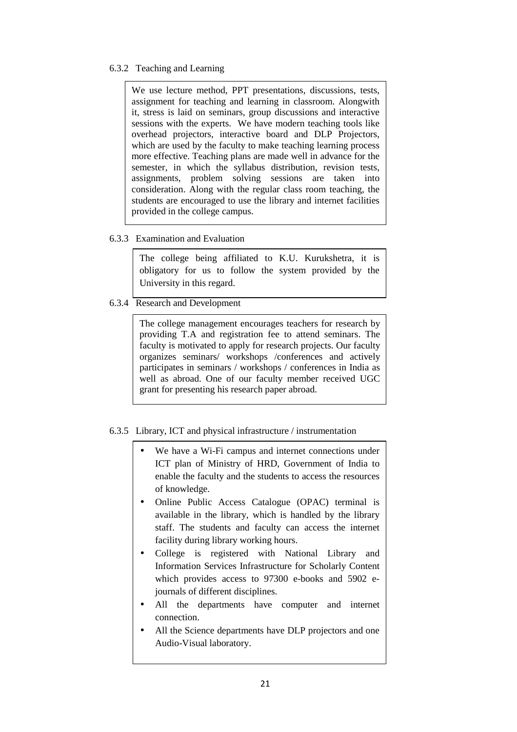6.3.2 Teaching and Learning

We use lecture method, PPT presentations, discussions, tests, assignment for teaching and learning in classroom. Alongwith it, stress is laid on seminars, group discussions and interactive sessions with the experts. We have modern teaching tools like overhead projectors, interactive board and DLP Projectors, which are used by the faculty to make teaching learning process more effective. Teaching plans are made well in advance for the semester, in which the syllabus distribution, revision tests, assignments, problem solving sessions are taken into consideration. Along with the regular class room teaching, the students are encouraged to use the library and internet facilities provided in the college campus.

6.3.3 Examination and Evaluation

The college being affiliated to K.U. Kurukshetra, it is obligatory for us to follow the system provided by the University in this regard.

6.3.4 Research and Development

The college management encourages teachers for research by providing T.A and registration fee to attend seminars. The faculty is motivated to apply for research projects. Our faculty organizes seminars/ workshops /conferences and actively participates in seminars / workshops / conferences in India as well as abroad. One of our faculty member received UGC grant for presenting his research paper abroad.

- 6.3.5 Library, ICT and physical infrastructure / instrumentation
	- We have a Wi-Fi campus and internet connections under ICT plan of Ministry of HRD, Government of India to enable the faculty and the students to access the resources of knowledge.
	- Online Public Access Catalogue (OPAC) terminal is available in the library, which is handled by the library staff. The students and faculty can access the internet facility during library working hours.
	- College is registered with National Library and Information Services Infrastructure for Scholarly Content which provides access to 97300 e-books and 5902 ejournals of different disciplines.
	- All the departments have computer and internet connection.
	- All the Science departments have DLP projectors and one Audio-Visual laboratory.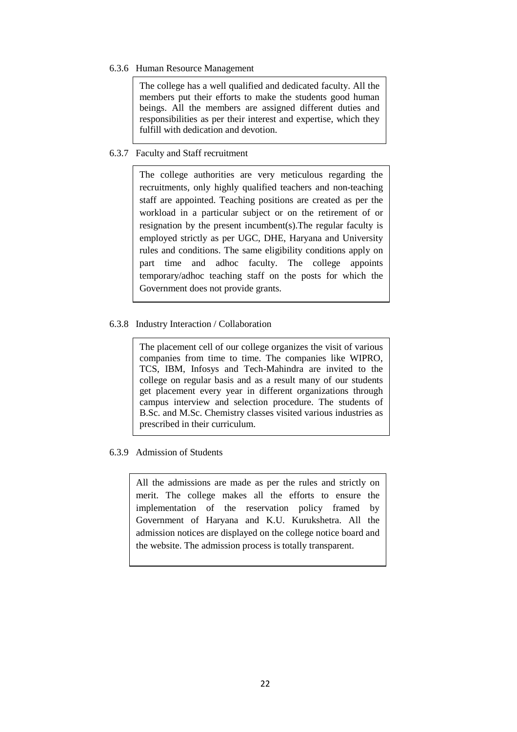#### 6.3.6 Human Resource Management

The college has a well qualified and dedicated faculty. All the members put their efforts to make the students good human beings. All the members are assigned different duties and responsibilities as per their interest and expertise, which they fulfill with dedication and devotion.

#### 6.3.7 Faculty and Staff recruitment

The college authorities are very meticulous regarding the recruitments, only highly qualified teachers and non-teaching staff are appointed. Teaching positions are created as per the workload in a particular subject or on the retirement of or resignation by the present incumbent(s).The regular faculty is employed strictly as per UGC, DHE, Haryana and University rules and conditions. The same eligibility conditions apply on part time and adhoc faculty. The college appoints temporary/adhoc teaching staff on the posts for which the Government does not provide grants.

#### 6.3.8 Industry Interaction / Collaboration

The placement cell of our college organizes the visit of various companies from time to time. The companies like WIPRO, TCS, IBM, Infosys and Tech-Mahindra are invited to the college on regular basis and as a result many of our students get placement every year in different organizations through campus interview and selection procedure. The students of B.Sc. and M.Sc. Chemistry classes visited various industries as prescribed in their curriculum.

6.3.9 Admission of Students

All the admissions are made as per the rules and strictly on merit. The college makes all the efforts to ensure the implementation of the reservation policy framed by Government of Haryana and K.U. Kurukshetra. All the admission notices are displayed on the college notice board and the website. The admission process is totally transparent.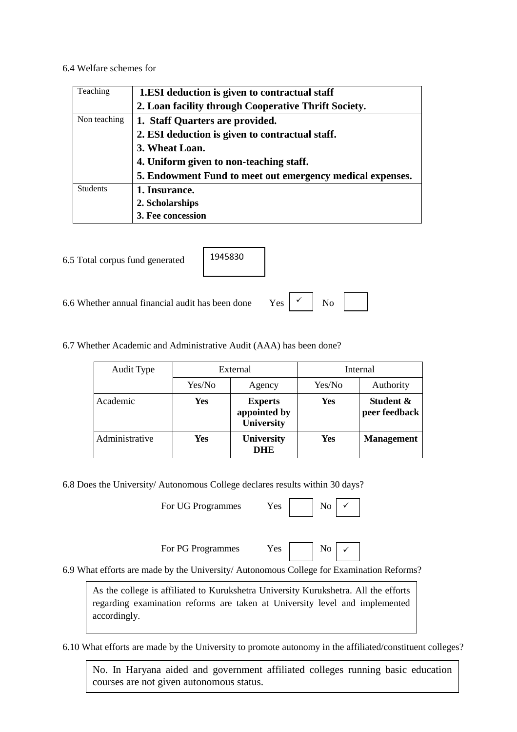#### 6.4 Welfare schemes for

| Teaching        | 1.ESI deduction is given to contractual staff             |
|-----------------|-----------------------------------------------------------|
|                 | 2. Loan facility through Cooperative Thrift Society.      |
| Non teaching    | 1. Staff Quarters are provided.                           |
|                 | 2. ESI deduction is given to contractual staff.           |
|                 | 3. Wheat Loan.                                            |
|                 | 4. Uniform given to non-teaching staff.                   |
|                 | 5. Endowment Fund to meet out emergency medical expenses. |
| <b>Students</b> | 1. Insurance.                                             |
|                 | 2. Scholarships                                           |
|                 | 3. Fee concession                                         |

6.5 Total corpus fund generated



6.6 Whether annual financial audit has been done Yes  $\begin{array}{c|c} \swarrow & \swarrow \end{array}$  No

 $\checkmark$ 

6.7 Whether Academic and Administrative Audit (AAA) has been done?

| Audit Type     | External |                                                     | Internal   |                            |  |
|----------------|----------|-----------------------------------------------------|------------|----------------------------|--|
|                | Yes/No   | Agency                                              | Yes/No     | Authority                  |  |
| Academic       | Yes      | <b>Experts</b><br>appointed by<br><b>University</b> | <b>Yes</b> | Student &<br>peer feedback |  |
| Administrative | Yes      | <b>University</b><br><b>DHE</b>                     | Yes        | <b>Management</b>          |  |

6.8 Does the University/ Autonomous College declares results within 30 days?

For UG Programmes Yes No

 $\checkmark$ 

 $\checkmark$ 

For PG Programmes Yes No



6.9 What efforts are made by the University/ Autonomous College for Examination Reforms?

As the college is affiliated to Kurukshetra University Kurukshetra. All the efforts regarding examination reforms are taken at University level and implemented accordingly.

6.10 What efforts are made by the University to promote autonomy in the affiliated/constituent colleges?

courses are not given autonomous status. No. In Haryana aided and government affiliated colleges running basic education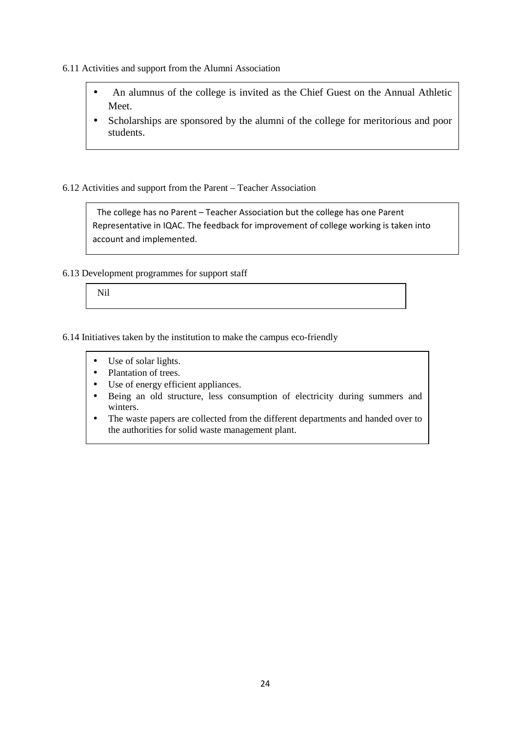- 6.11 Activities and support from the Alumni Association
	- An alumnus of the college is invited as the Chief Guest on the Annual Athletic Meet.
	- Scholarships are sponsored by the alumni of the college for meritorious and poor students.

#### 6.12 Activities and support from the Parent – Teacher Association

 The college has no Parent – Teacher Association but the college has one Parent Representative in IQAC. The feedback for improvement of college working is taken into account and implemented.

6.13 Development programmes for support staff

Nil

6.14 Initiatives taken by the institution to make the campus eco-friendly

- Use of solar lights.
- Plantation of trees.
- Use of energy efficient appliances.
- Being an old structure, less consumption of electricity during summers and winters.
- The waste papers are collected from the different departments and handed over to the authorities for solid waste management plant.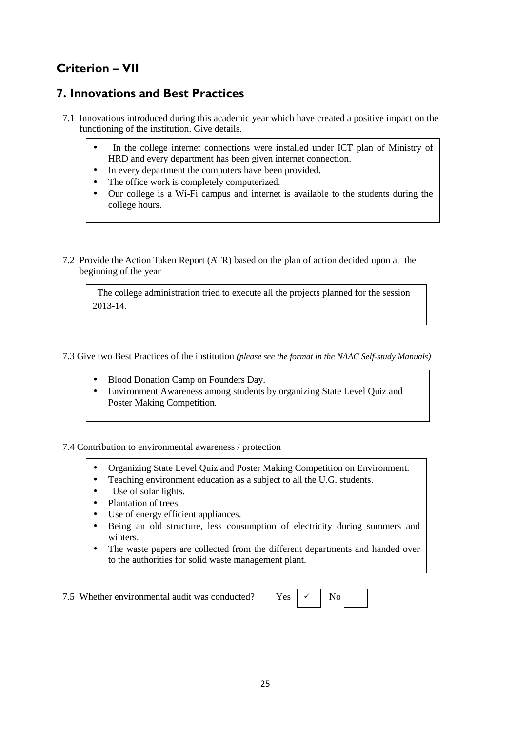# **Criterion – VII**

### **7. Innovations and Best Practices**

- 7.1 Innovations introduced during this academic year which have created a positive impact on the functioning of the institution. Give details.
	- In the college internet connections were installed under ICT plan of Ministry of HRD and every department has been given internet connection.
	- In every department the computers have been provided.
	- The office work is completely computerized.
	- Our college is a Wi-Fi campus and internet is available to the students during the college hours.
- 7.2 Provide the Action Taken Report (ATR) based on the plan of action decided upon at the beginning of the year

 The college administration tried to execute all the projects planned for the session 2013-14.

### 7.3 Give two Best Practices of the institution *(please see the format in the NAAC Self-study Manuals)*

- Blood Donation Camp on Founders Day.
- Environment Awareness among students by organizing State Level Quiz and Poster Making Competition.

### 7.4 Contribution to environmental awareness / protection

- Organizing State Level Quiz and Poster Making Competition on Environment.
- Teaching environment education as a subject to all the U.G. students.
- Use of solar lights.
- Plantation of trees.
- Use of energy efficient appliances.
- Being an old structure, less consumption of electricity during summers and winters.
- The waste papers are collected from the different departments and handed over to the authorities for solid waste management plant.

7.5 Whether environmental audit was conducted? Yes  $\vert \checkmark \vert$  No

 $\checkmark$